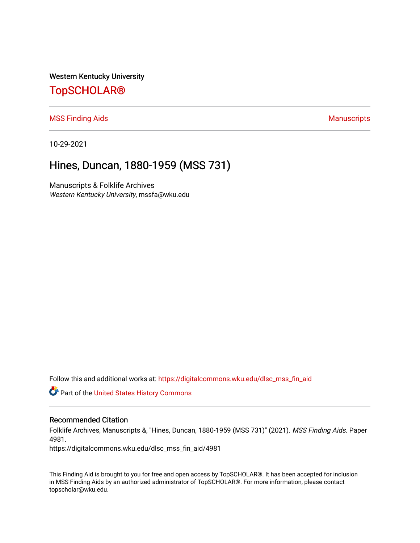Western Kentucky University

# [TopSCHOLAR®](https://digitalcommons.wku.edu/)

[MSS Finding Aids](https://digitalcommons.wku.edu/dlsc_mss_fin_aid) **Manuscripts** [Manuscripts](https://digitalcommons.wku.edu/dlsc_mss) **Manuscripts** 

10-29-2021

# Hines, Duncan, 1880-1959 (MSS 731)

Manuscripts & Folklife Archives Western Kentucky University, mssfa@wku.edu

Follow this and additional works at: [https://digitalcommons.wku.edu/dlsc\\_mss\\_fin\\_aid](https://digitalcommons.wku.edu/dlsc_mss_fin_aid?utm_source=digitalcommons.wku.edu%2Fdlsc_mss_fin_aid%2F4981&utm_medium=PDF&utm_campaign=PDFCoverPages) 

**C** Part of the United States History Commons

#### Recommended Citation

Folklife Archives, Manuscripts &, "Hines, Duncan, 1880-1959 (MSS 731)" (2021). MSS Finding Aids. Paper 4981.

https://digitalcommons.wku.edu/dlsc\_mss\_fin\_aid/4981

This Finding Aid is brought to you for free and open access by TopSCHOLAR®. It has been accepted for inclusion in MSS Finding Aids by an authorized administrator of TopSCHOLAR®. For more information, please contact topscholar@wku.edu.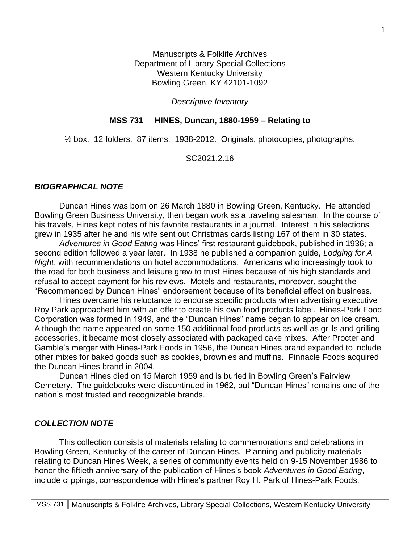Manuscripts & Folklife Archives Department of Library Special Collections Western Kentucky University Bowling Green, KY 42101-1092

#### *Descriptive Inventory*

### **MSS 731 HINES, Duncan, 1880-1959 – Relating to**

½ box. 12 folders. 87 items. 1938-2012. Originals, photocopies, photographs.

SC2021.2.16

#### *BIOGRAPHICAL NOTE*

Duncan Hines was born on 26 March 1880 in Bowling Green, Kentucky. He attended Bowling Green Business University, then began work as a traveling salesman. In the course of his travels, Hines kept notes of his favorite restaurants in a journal. Interest in his selections grew in 1935 after he and his wife sent out Christmas cards listing 167 of them in 30 states.

*Adventures in Good Eating* was Hines' first restaurant guidebook, published in 1936; a second edition followed a year later. In 1938 he published a companion guide, *Lodging for A Night*, with recommendations on hotel accommodations. Americans who increasingly took to the road for both business and leisure grew to trust Hines because of his high standards and refusal to accept payment for his reviews. Motels and restaurants, moreover, sought the "Recommended by Duncan Hines" endorsement because of its beneficial effect on business.

Hines overcame his reluctance to endorse specific products when advertising executive Roy Park approached him with an offer to create his own food products label. Hines-Park Food Corporation was formed in 1949, and the "Duncan Hines" name began to appear on ice cream. Although the name appeared on some 150 additional food products as well as grills and grilling accessories, it became most closely associated with packaged cake mixes. After Procter and Gamble's merger with Hines-Park Foods in 1956, the Duncan Hines brand expanded to include other mixes for baked goods such as cookies, brownies and muffins. Pinnacle Foods acquired the Duncan Hines brand in 2004.

Duncan Hines died on 15 March 1959 and is buried in Bowling Green's Fairview Cemetery. The guidebooks were discontinued in 1962, but "Duncan Hines" remains one of the nation's most trusted and recognizable brands.

### *COLLECTION NOTE*

This collection consists of materials relating to commemorations and celebrations in Bowling Green, Kentucky of the career of Duncan Hines. Planning and publicity materials relating to Duncan Hines Week, a series of community events held on 9-15 November 1986 to honor the fiftieth anniversary of the publication of Hines's book *Adventures in Good Eating*, include clippings, correspondence with Hines's partner Roy H. Park of Hines-Park Foods,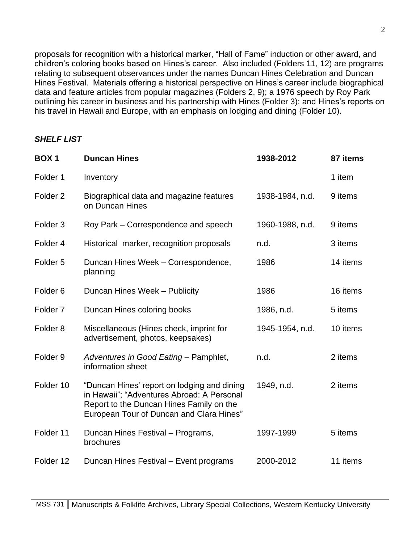proposals for recognition with a historical marker, "Hall of Fame" induction or other award, and children's coloring books based on Hines's career. Also included (Folders 11, 12) are programs relating to subsequent observances under the names Duncan Hines Celebration and Duncan Hines Festival. Materials offering a historical perspective on Hines's career include biographical data and feature articles from popular magazines (Folders 2, 9); a 1976 speech by Roy Park outlining his career in business and his partnership with Hines (Folder 3); and Hines's reports on his travel in Hawaii and Europe, with an emphasis on lodging and dining (Folder 10).

# *SHELF LIST*

| <b>BOX1</b>         | <b>Duncan Hines</b>                                                                                                                                                               | 1938-2012       | 87 items |
|---------------------|-----------------------------------------------------------------------------------------------------------------------------------------------------------------------------------|-----------------|----------|
| Folder <sub>1</sub> | Inventory                                                                                                                                                                         |                 | 1 item   |
| Folder <sub>2</sub> | Biographical data and magazine features<br>on Duncan Hines                                                                                                                        | 1938-1984, n.d. | 9 items  |
| Folder <sub>3</sub> | Roy Park – Correspondence and speech                                                                                                                                              | 1960-1988, n.d. | 9 items  |
| Folder 4            | Historical marker, recognition proposals                                                                                                                                          | n.d.            | 3 items  |
| Folder <sub>5</sub> | Duncan Hines Week - Correspondence,<br>planning                                                                                                                                   | 1986            | 14 items |
| Folder <sub>6</sub> | Duncan Hines Week - Publicity                                                                                                                                                     | 1986            | 16 items |
| Folder <sub>7</sub> | Duncan Hines coloring books                                                                                                                                                       | 1986, n.d.      | 5 items  |
| Folder <sub>8</sub> | Miscellaneous (Hines check, imprint for<br>advertisement, photos, keepsakes)                                                                                                      | 1945-1954, n.d. | 10 items |
| Folder <sub>9</sub> | Adventures in Good Eating - Pamphlet,<br>information sheet                                                                                                                        | n.d.            | 2 items  |
| Folder 10           | "Duncan Hines' report on lodging and dining<br>in Hawaii"; "Adventures Abroad: A Personal<br>Report to the Duncan Hines Family on the<br>European Tour of Duncan and Clara Hines" | 1949, n.d.      | 2 items  |
| Folder 11           | Duncan Hines Festival - Programs,<br>brochures                                                                                                                                    | 1997-1999       | 5 items  |
| Folder 12           | Duncan Hines Festival - Event programs                                                                                                                                            | 2000-2012       | 11 items |